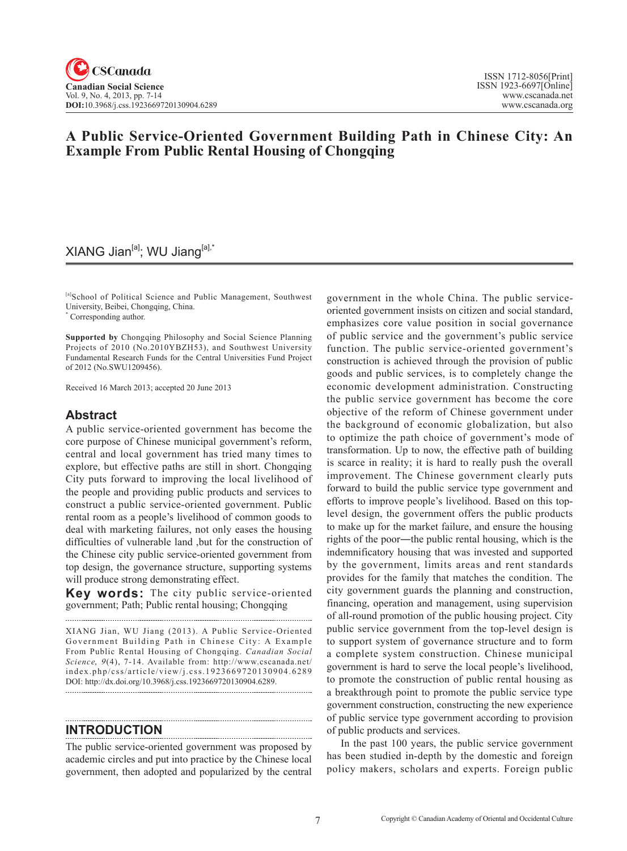## **A Public Service-Oriented Government Building Path in Chinese City: An Example From Public Rental Housing of Chongqing**

## $XIANG$  Jian<sup>[a]</sup>; WU Jiang<sup>[a],\*</sup>

[a]School of Political Science and Public Management, Southwest University, Beibei, Chongqing, China.

\* Corresponding author.

**Supported by** Chongqing Philosophy and Social Science Planning Projects of 2010 (No.2010YBZH53), and Southwest University Fundamental Research Funds for the Central Universities Fund Project of 2012 (No.SWU1209456).

Received 16 March 2013; accepted 20 June 2013

## **Abstract**

A public service-oriented government has become the core purpose of Chinese municipal government's reform, central and local government has tried many times to explore, but effective paths are still in short. Chongqing City puts forward to improving the local livelihood of the people and providing public products and services to construct a public service-oriented government. Public rental room as a people's livelihood of common goods to deal with marketing failures, not only eases the housing difficulties of vulnerable land ,but for the construction of the Chinese city public service-oriented government from top design, the governance structure, supporting systems will produce strong demonstrating effect.

**Key words:** The city public service-oriented government; Path; Public rental housing; Chongqing

XIANG Jian, WU Jiang (2013). A Public Service-Oriented Government Building Path in Chinese City: A Example From Public Rental Housing of Chongqing. *Canadian Social Science*, 9(4), 7-14. Available from: http://www.cscanada.net/ index.php/css/article/view/j.css.1923669720130904.6289 DOI: http://dx.doi.org/10.3968/j.css.1923669720130904.6289.

**INTRODUCTION**

The public service-oriented government was proposed by academic circles and put into practice by the Chinese local government, then adopted and popularized by the central government in the whole China. The public serviceoriented government insists on citizen and social standard, emphasizes core value position in social governance of public service and the government's public service function. The public service-oriented government's construction is achieved through the provision of public goods and public services, is to completely change the economic development administration. Constructing the public service government has become the core objective of the reform of Chinese government under the background of economic globalization, but also to optimize the path choice of government's mode of transformation. Up to now, the effective path of building is scarce in reality; it is hard to really push the overall improvement. The Chinese government clearly puts forward to build the public service type government and efforts to improve people's livelihood. Based on this toplevel design, the government offers the public products to make up for the market failure, and ensure the housing rights of the poor―the public rental housing, which is the indemnificatory housing that was invested and supported by the government, limits areas and rent standards provides for the family that matches the condition. The city government guards the planning and construction, financing, operation and management, using supervision of all-round promotion of the public housing project. City public service government from the top-level design is to support system of governance structure and to form a complete system construction. Chinese municipal government is hard to serve the local people's livelihood, to promote the construction of public rental housing as a breakthrough point to promote the public service type government construction, constructing the new experience of public service type government according to provision of public products and services.

In the past 100 years, the public service government has been studied in-depth by the domestic and foreign policy makers, scholars and experts. Foreign public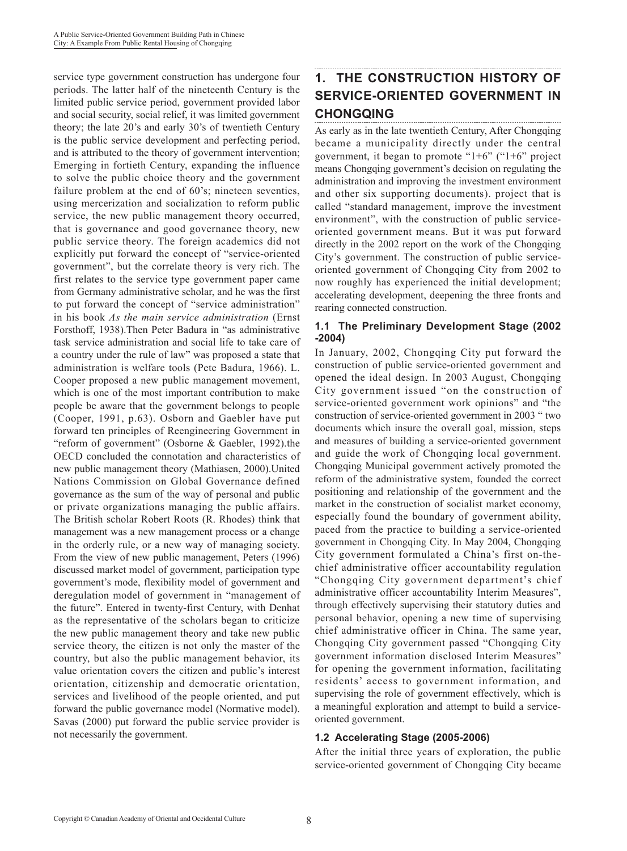service type government construction has undergone four periods. The latter half of the nineteenth Century is the limited public service period, government provided labor and social security, social relief, it was limited government theory; the late 20's and early 30's of twentieth Century is the public service development and perfecting period, and is attributed to the theory of government intervention; Emerging in fortieth Century, expanding the influence to solve the public choice theory and the government failure problem at the end of 60's; nineteen seventies, using mercerization and socialization to reform public service, the new public management theory occurred, that is governance and good governance theory, new public service theory. The foreign academics did not explicitly put forward the concept of "service-oriented government", but the correlate theory is very rich. The first relates to the service type government paper came from Germany administrative scholar, and he was the first to put forward the concept of "service administration" in his book *As the main service administration* (Ernst Forsthoff, 1938).Then Peter Badura in "as administrative task service administration and social life to take care of a country under the rule of law" was proposed a state that administration is welfare tools (Pete Badura, 1966). L. Cooper proposed a new public management movement, which is one of the most important contribution to make people be aware that the government belongs to people (Cooper, 1991, p.63). Osborn and Gaebler have put forward ten principles of Reengineering Government in "reform of government" (Osborne & Gaebler, 1992).the OECD concluded the connotation and characteristics of new public management theory (Mathiasen, 2000).United Nations Commission on Global Governance defined governance as the sum of the way of personal and public or private organizations managing the public affairs. The British scholar Robert Roots (R. Rhodes) think that management was a new management process or a change in the orderly rule, or a new way of managing society. From the view of new public management, Peters (1996) discussed market model of government, participation type government's mode, flexibility model of government and deregulation model of government in "management of the future". Entered in twenty-first Century, with Denhat as the representative of the scholars began to criticize the new public management theory and take new public service theory, the citizen is not only the master of the country, but also the public management behavior, its value orientation covers the citizen and public's interest orientation, citizenship and democratic orientation, services and livelihood of the people oriented, and put forward the public governance model (Normative model). Savas (2000) put forward the public service provider is not necessarily the government.

## **1. THE CONSTRUCTION HISTORY OF SERVICE-ORIENTED GOVERNMENT IN CHONGQING**

As early as in the late twentieth Century, After Chongqing became a municipality directly under the central government, it began to promote " $1+6$ " (" $1+6$ " project means Chongqing government's decision on regulating the administration and improving the investment environment and other six supporting documents). project that is called "standard management, improve the investment environment", with the construction of public serviceoriented government means. But it was put forward directly in the 2002 report on the work of the Chongqing City's government. The construction of public serviceoriented government of Chongqing City from 2002 to now roughly has experienced the initial development; accelerating development, deepening the three fronts and rearing connected construction.

### **1.1 The Preliminary Development Stage (2002 -2004)**

In January, 2002, Chongqing City put forward the construction of public service-oriented government and opened the ideal design. In 2003 August, Chongqing City government issued "on the construction of service-oriented government work opinions" and "the construction of service-oriented government in 2003 " two documents which insure the overall goal, mission, steps and measures of building a service-oriented government and guide the work of Chongqing local government. Chongqing Municipal government actively promoted the reform of the administrative system, founded the correct positioning and relationship of the government and the market in the construction of socialist market economy, especially found the boundary of government ability, paced from the practice to building a service-oriented government in Chongqing City. In May 2004, Chongqing City government formulated a China's first on-thechief administrative officer accountability regulation "Chongqing City government department's chief administrative officer accountability Interim Measures", through effectively supervising their statutory duties and personal behavior, opening a new time of supervising chief administrative officer in China. The same year, Chongqing City government passed "Chongqing City government information disclosed Interim Measures" for opening the government information, facilitating residents' access to government information, and supervising the role of government effectively, which is a meaningful exploration and attempt to build a serviceoriented government.

### **1.2 Accelerating Stage (2005-2006)**

After the initial three years of exploration, the public service-oriented government of Chongqing City became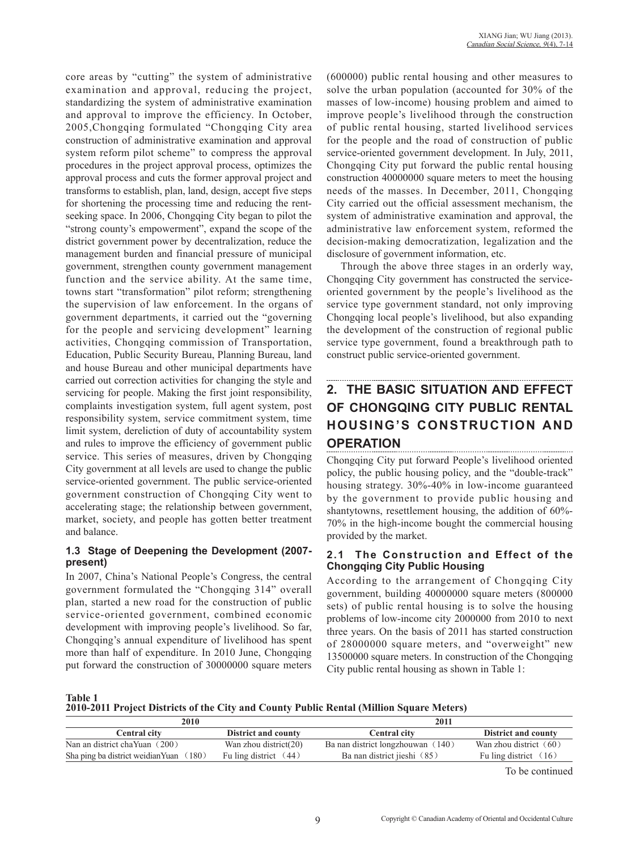core areas by "cutting" the system of administrative examination and approval, reducing the project, standardizing the system of administrative examination and approval to improve the efficiency. In October, 2005,Chongqing formulated "Chongqing City area construction of administrative examination and approval system reform pilot scheme" to compress the approval procedures in the project approval process, optimizes the approval process and cuts the former approval project and transforms to establish, plan, land, design, accept five steps for shortening the processing time and reducing the rentseeking space. In 2006, Chongqing City began to pilot the "strong county's empowerment", expand the scope of the district government power by decentralization, reduce the management burden and financial pressure of municipal government, strengthen county government management function and the service ability. At the same time, towns start "transformation" pilot reform; strengthening the supervision of law enforcement. In the organs of government departments, it carried out the "governing for the people and servicing development" learning activities, Chongqing commission of Transportation, Education, Public Security Bureau, Planning Bureau, land and house Bureau and other municipal departments have carried out correction activities for changing the style and servicing for people. Making the first joint responsibility, complaints investigation system, full agent system, post responsibility system, service commitment system, time limit system, dereliction of duty of accountability system and rules to improve the efficiency of government public service. This series of measures, driven by Chongqing City government at all levels are used to change the public service-oriented government. The public service-oriented government construction of Chongqing City went to accelerating stage; the relationship between government, market, society, and people has gotten better treatment and balance.

### **1.3 Stage of Deepening the Development (2007 present)**

In 2007, China's National People's Congress, the central government formulated the "Chongqing 314" overall plan, started a new road for the construction of public service-oriented government, combined economic development with improving people's livelihood. So far, Chongqing's annual expenditure of livelihood has spent more than half of expenditure. In 2010 June, Chongqing put forward the construction of 30000000 square meters (600000) public rental housing and other measures to solve the urban population (accounted for 30% of the masses of low-income) housing problem and aimed to improve people's livelihood through the construction of public rental housing, started livelihood services for the people and the road of construction of public service-oriented government development. In July, 2011, Chongqing City put forward the public rental housing construction 40000000 square meters to meet the housing needs of the masses. In December, 2011, Chongqing City carried out the official assessment mechanism, the system of administrative examination and approval, the administrative law enforcement system, reformed the decision-making democratization, legalization and the disclosure of government information, etc.

Through the above three stages in an orderly way, Chongqing City government has constructed the serviceoriented government by the people's livelihood as the service type government standard, not only improving Chongqing local people's livelihood, but also expanding the development of the construction of regional public service type government, found a breakthrough path to construct public service-oriented government.

# **2. THE BASIC SITUATION AND EFFECT OF CHONGQING CITY PUBLIC RENTAL HOUSING'S CONSTRUCTION AND OPERATION**

Chongqing City put forward People's livelihood oriented policy, the public housing policy, and the "double-track" housing strategy. 30%-40% in low-income guaranteed by the government to provide public housing and shantytowns, resettlement housing, the addition of 60%- 70% in the high-income bought the commercial housing provided by the market.

### **2.1 The Construction and Effect of the Chongqing City Public Housing**

According to the arrangement of Chongqing City government, building 40000000 square meters (800000 sets) of public rental housing is to solve the housing problems of low-income city 2000000 from 2010 to next three years. On the basis of 2011 has started construction of 28000000 square meters, and "overweight" new 13500000 square meters. In construction of the Chongqing City public rental housing as shown in Table 1:

**Table 1**

**2010-2011 Project Districts of the City and County Public Rental (Million Square Meters)**

| 2010                                    |                            | 2011                              |                            |
|-----------------------------------------|----------------------------|-----------------------------------|----------------------------|
| <b>Central city</b>                     | <b>District and county</b> | <b>Central city</b>               | <b>District and county</b> |
| Nan an district chaYuan (200)           | Wan zhou district(20)      | Ba nan district longzhouwan (140) | Wan zhou district $(60)$   |
| Sha ping ba district weidian Yuan (180) | Fu ling district $(44)$    | Ba nan district jieshi (85)       | Fu ling district $(16)$    |
|                                         |                            |                                   | $\sim$ 1                   |

To be continued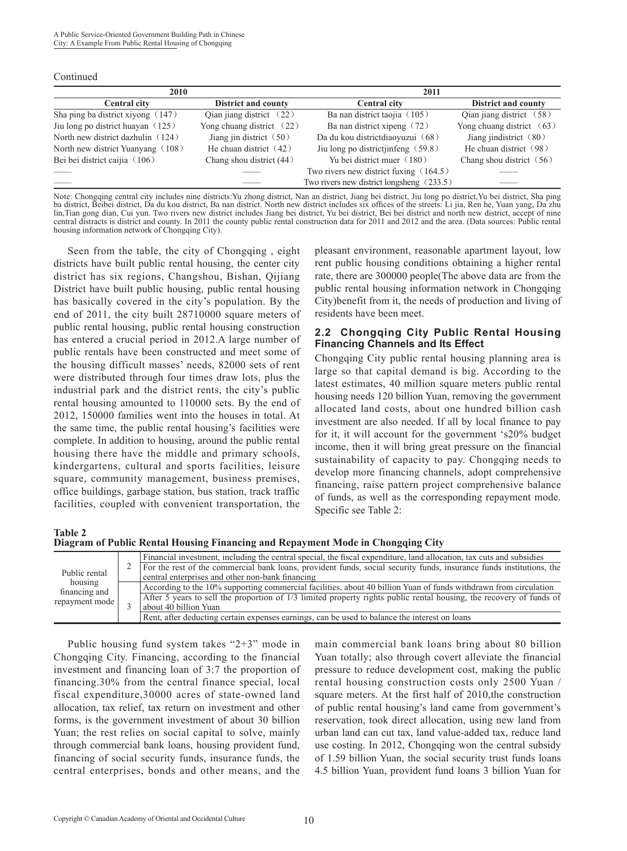Continued

| 2010                              |                             | 2011                                        |                             |
|-----------------------------------|-----------------------------|---------------------------------------------|-----------------------------|
| <b>Central city</b>               | <b>District and county</b>  | <b>Central city</b>                         | <b>District and county</b>  |
| Sha ping ba district xiyong (147) | Qian jiang district $(22)$  | Ba nan district taojia (105)                | Qian jiang district (58)    |
| Jiu long po district huayan (125) | Yong chuang district $(22)$ | Ba nan district xipeng (72)                 | Yong chuang district $(63)$ |
| North new district dazhulin (124) | Jiang jin district $(50)$   | Da du kou districtdiaoyuzui (68)            | Jiang jindistrict $(80)$    |
| North new district Yuanyang (108) | He chuan district $(42)$    | Jiu long po districtjinfeng (59.8)          | He chuan district (98)      |
| Bei bei district caijia (106)     | Chang shou district (44)    | Yu bei district muer (180)                  | Chang shou district $(56)$  |
|                                   |                             | Two rivers new district fuxing (164.5)      |                             |
|                                   |                             | Two rivers new district longsheng $(233.5)$ |                             |

Note: Chongqing central city includes nine districts: Yu zhong district, Nan an district, Jiang bei district, Jiu long po district, Yu bei district, Sha ping ba district, Beibei district, Da du kou district, Ba nan district. North new district includes six offices of the streets: Li jia, Ren he, Yuan yang, Da zhu lin,Tian gong dian, Cui yun. Two rivers new district includes Jiang bei district, Yu bei district, Bei bei district and north new district, accept of nine central distracts is district and county. In 2011 the county public rental construction data for 2011 and 2012 and the area. (Data sources: Public rental housing information network of Chongqing City).

Seen from the table, the city of Chongqing , eight districts have built public rental housing, the center city district has six regions, Changshou, Bishan, Qijiang District have built public housing, public rental housing has basically covered in the city's population. By the end of 2011, the city built 28710000 square meters of public rental housing, public rental housing construction has entered a crucial period in 2012.A large number of public rentals have been constructed and meet some of the housing difficult masses' needs, 82000 sets of rent were distributed through four times draw lots, plus the industrial park and the district rents, the city's public rental housing amounted to 110000 sets. By the end of 2012, 150000 families went into the houses in total. At the same time, the public rental housing's facilities were complete. In addition to housing, around the public rental housing there have the middle and primary schools, kindergartens, cultural and sports facilities, leisure square, community management, business premises, office buildings, garbage station, bus station, track traffic facilities, coupled with convenient transportation, the

pleasant environment, reasonable apartment layout, low rent public housing conditions obtaining a higher rental rate, there are 300000 people(The above data are from the public rental housing information network in Chongqing City)benefit from it, the needs of production and living of residents have been meet.

#### **2.2 Chongqing City Public Rental Housing Financing Channels and Its Effect**

Chongqing City public rental housing planning area is large so that capital demand is big. According to the latest estimates, 40 million square meters public rental housing needs 120 billion Yuan, removing the government allocated land costs, about one hundred billion cash investment are also needed. If all by local finance to pay for it, it will account for the government 's20% budget income, then it will bring great pressure on the financial sustainability of capacity to pay. Chongqing needs to develop more financing channels, adopt comprehensive financing, raise pattern project comprehensive balance of funds, as well as the corresponding repayment mode. Specific see Table 2:

**Table 2**

**Diagram of Public Rental Housing Financing and Repayment Mode in Chongqing City**

| $\mathcal{L}$<br>Public rental<br>housing<br>financing and<br>repayment mode |                                                  | Financial investment, including the central special, the fiscal expenditure, land allocation, tax cuts and subsidies |
|------------------------------------------------------------------------------|--------------------------------------------------|----------------------------------------------------------------------------------------------------------------------|
|                                                                              |                                                  | For the rest of the commercial bank loans, provident funds, social security funds, insurance funds institutions, the |
|                                                                              | central enterprises and other non-bank financing |                                                                                                                      |
|                                                                              |                                                  | According to the 10% supporting commercial facilities, about 40 billion Yuan of funds withdrawn from circulation     |
|                                                                              |                                                  | After 5 years to sell the proportion of 1/3 limited property rights public rental housing, the recovery of funds of  |
|                                                                              |                                                  | about 40 billion Yuan                                                                                                |
|                                                                              |                                                  | Rent, after deducting certain expenses earnings, can be used to balance the interest on loans                        |

Public housing fund system takes "2+3" mode in Chongqing City. Financing, according to the financial investment and financing loan of 3:7 the proportion of financing.30% from the central finance special, local fiscal expenditure,30000 acres of state-owned land allocation, tax relief, tax return on investment and other forms, is the government investment of about 30 billion Yuan; the rest relies on social capital to solve, mainly through commercial bank loans, housing provident fund, financing of social security funds, insurance funds, the central enterprises, bonds and other means, and the

main commercial bank loans bring about 80 billion Yuan totally; also through covert alleviate the financial pressure to reduce development cost, making the public rental housing construction costs only 2500 Yuan / square meters. At the first half of 2010,the construction of public rental housing's land came from government's reservation, took direct allocation, using new land from urban land can cut tax, land value-added tax, reduce land use costing. In 2012, Chongqing won the central subsidy of 1.59 billion Yuan, the social security trust funds loans 4.5 billion Yuan, provident fund loans 3 billion Yuan for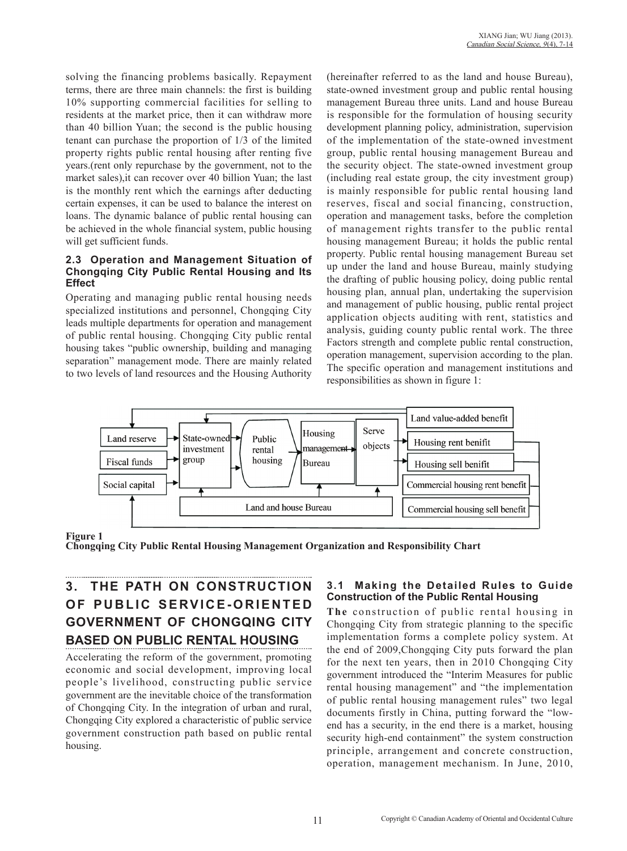solving the financing problems basically. Repayment terms, there are three main channels: the first is building 10% supporting commercial facilities for selling to residents at the market price, then it can withdraw more than 40 billion Yuan; the second is the public housing tenant can purchase the proportion of 1/3 of the limited property rights public rental housing after renting five years.(rent only repurchase by the government, not to the market sales),it can recover over 40 billion Yuan; the last is the monthly rent which the earnings after deducting certain expenses, it can be used to balance the interest on loans. The dynamic balance of public rental housing can be achieved in the whole financial system, public housing will get sufficient funds.

#### **2.3 Operation and Management Situation of Chongqing City Public Rental Housing and Its Effect**

Operating and managing public rental housing needs specialized institutions and personnel, Chongqing City leads multiple departments for operation and management of public rental housing. Chongqing City public rental housing takes "public ownership, building and managing separation" management mode. There are mainly related to two levels of land resources and the Housing Authority

(hereinafter referred to as the land and house Bureau), state-owned investment group and public rental housing management Bureau three units. Land and house Bureau is responsible for the formulation of housing security development planning policy, administration, supervision of the implementation of the state-owned investment group, public rental housing management Bureau and the security object. The state-owned investment group (including real estate group, the city investment group) is mainly responsible for public rental housing land reserves, fiscal and social financing, construction, operation and management tasks, before the completion of management rights transfer to the public rental housing management Bureau; it holds the public rental property. Public rental housing management Bureau set up under the land and house Bureau, mainly studying the drafting of public housing policy, doing public rental housing plan, annual plan, undertaking the supervision and management of public housing, public rental project application objects auditing with rent, statistics and analysis, guiding county public rental work. The three Factors strength and complete public rental construction, operation management, supervision according to the plan. The specific operation and management institutions and responsibilities as shown in figure 1:



## **Figure 1**

**Chongqing City Public Rental Housing Management Organization and Responsibility Chart**

# **3. THE PATH ON CONSTRUCTION OF PUBLIC SERVICE-ORIENTED GOVERNMENT OF CHONGQING CITY BASED ON PUBLIC RENTAL HOUSING**

Accelerating the reform of the government, promoting economic and social development, improving local people's livelihood, constructing public service government are the inevitable choice of the transformation of Chongqing City. In the integration of urban and rural, Chongqing City explored a characteristic of public service government construction path based on public rental housing.

### **3.1 Making the Detailed Rules to Guide Construction of the Public Rental Housing**

**The** construction of public rental housing in Chongqing City from strategic planning to the specific implementation forms a complete policy system. At the end of 2009,Chongqing City puts forward the plan for the next ten years, then in 2010 Chongqing City government introduced the "Interim Measures for public rental housing management" and "the implementation of public rental housing management rules" two legal documents firstly in China, putting forward the "lowend has a security, in the end there is a market, housing security high-end containment" the system construction principle, arrangement and concrete construction, operation, management mechanism. In June, 2010,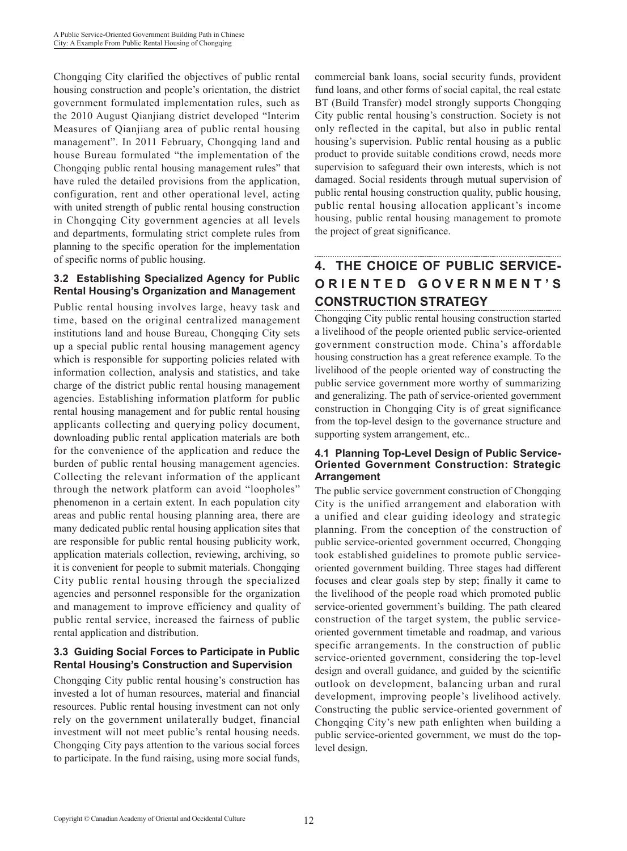Chongqing City clarified the objectives of public rental housing construction and people's orientation, the district government formulated implementation rules, such as the 2010 August Qianjiang district developed "Interim Measures of Qianjiang area of public rental housing management". In 2011 February, Chongqing land and house Bureau formulated "the implementation of the Chongqing public rental housing management rules" that have ruled the detailed provisions from the application, configuration, rent and other operational level, acting with united strength of public rental housing construction in Chongqing City government agencies at all levels and departments, formulating strict complete rules from planning to the specific operation for the implementation of specific norms of public housing.

## **3.2 Establishing Specialized Agency for Public Rental Housing's Organization and Management**

Public rental housing involves large, heavy task and time, based on the original centralized management institutions land and house Bureau, Chongqing City sets up a special public rental housing management agency which is responsible for supporting policies related with information collection, analysis and statistics, and take charge of the district public rental housing management agencies. Establishing information platform for public rental housing management and for public rental housing applicants collecting and querying policy document, downloading public rental application materials are both for the convenience of the application and reduce the burden of public rental housing management agencies. Collecting the relevant information of the applicant through the network platform can avoid "loopholes" phenomenon in a certain extent. In each population city areas and public rental housing planning area, there are many dedicated public rental housing application sites that are responsible for public rental housing publicity work, application materials collection, reviewing, archiving, so it is convenient for people to submit materials. Chongqing City public rental housing through the specialized agencies and personnel responsible for the organization and management to improve efficiency and quality of public rental service, increased the fairness of public rental application and distribution.

## **3.3 Guiding Social Forces to Participate in Public Rental Housing's Construction and Supervision**

Chongqing City public rental housing's construction has invested a lot of human resources, material and financial resources. Public rental housing investment can not only rely on the government unilaterally budget, financial investment will not meet public's rental housing needs. Chongqing City pays attention to the various social forces to participate. In the fund raising, using more social funds,

commercial bank loans, social security funds, provident fund loans, and other forms of social capital, the real estate BT (Build Transfer) model strongly supports Chongqing City public rental housing's construction. Society is not only reflected in the capital, but also in public rental housing's supervision. Public rental housing as a public product to provide suitable conditions crowd, needs more supervision to safeguard their own interests, which is not damaged. Social residents through mutual supervision of public rental housing construction quality, public housing, public rental housing allocation applicant's income housing, public rental housing management to promote the project of great significance.

# **4. THE CHOICE OF PUBLIC SERVICE-O R I E N T E D G O V E R N M E N T ' S CONSTRUCTION STRATEGY**

Chongqing City public rental housing construction started a livelihood of the people oriented public service-oriented government construction mode. China's affordable housing construction has a great reference example. To the livelihood of the people oriented way of constructing the public service government more worthy of summarizing and generalizing. The path of service-oriented government construction in Chongqing City is of great significance from the top-level design to the governance structure and supporting system arrangement, etc..

### **4.1 Planning Top-Level Design of Public Service-Oriented Government Construction: Strategic Arrangement**

The public service government construction of Chongqing City is the unified arrangement and elaboration with a unified and clear guiding ideology and strategic planning. From the conception of the construction of public service-oriented government occurred, Chongqing took established guidelines to promote public serviceoriented government building. Three stages had different focuses and clear goals step by step; finally it came to the livelihood of the people road which promoted public service-oriented government's building. The path cleared construction of the target system, the public serviceoriented government timetable and roadmap, and various specific arrangements. In the construction of public service-oriented government, considering the top-level design and overall guidance, and guided by the scientific outlook on development, balancing urban and rural development, improving people's livelihood actively. Constructing the public service-oriented government of Chongqing City's new path enlighten when building a public service-oriented government, we must do the toplevel design.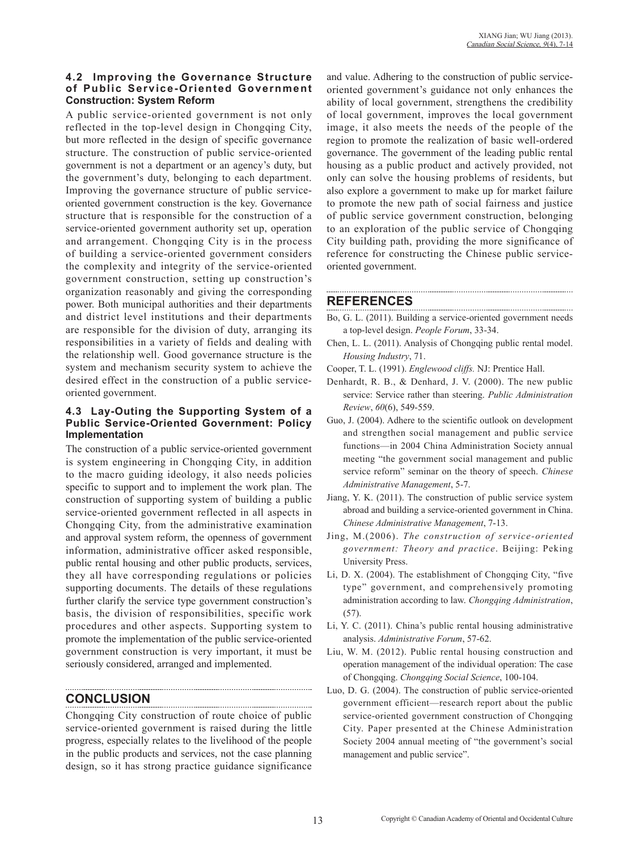### **4.2 Improving the Governance Structure of Public Service-Oriented Government Construction: System Reform**

A public service-oriented government is not only reflected in the top-level design in Chongqing City, but more reflected in the design of specific governance structure. The construction of public service-oriented government is not a department or an agency's duty, but the government's duty, belonging to each department. Improving the governance structure of public serviceoriented government construction is the key. Governance structure that is responsible for the construction of a service-oriented government authority set up, operation and arrangement. Chongqing City is in the process of building a service-oriented government considers the complexity and integrity of the service-oriented government construction, setting up construction's organization reasonably and giving the corresponding power. Both municipal authorities and their departments and district level institutions and their departments are responsible for the division of duty, arranging its responsibilities in a variety of fields and dealing with the relationship well. Good governance structure is the system and mechanism security system to achieve the desired effect in the construction of a public serviceoriented government.

### **4.3 Lay-Outing the Supporting System of a Public Service-Oriented Government: Policy Implementation**

The construction of a public service-oriented government is system engineering in Chongqing City, in addition to the macro guiding ideology, it also needs policies specific to support and to implement the work plan. The construction of supporting system of building a public service-oriented government reflected in all aspects in Chongqing City, from the administrative examination and approval system reform, the openness of government information, administrative officer asked responsible, public rental housing and other public products, services, they all have corresponding regulations or policies supporting documents. The details of these regulations further clarify the service type government construction's basis, the division of responsibilities, specific work procedures and other aspects. Supporting system to promote the implementation of the public service-oriented government construction is very important, it must be seriously considered, arranged and implemented.

## **CONCLUSION**

Chongqing City construction of route choice of public service-oriented government is raised during the little progress, especially relates to the livelihood of the people in the public products and services, not the case planning design, so it has strong practice guidance significance and value. Adhering to the construction of public serviceoriented government's guidance not only enhances the ability of local government, strengthens the credibility of local government, improves the local government image, it also meets the needs of the people of the region to promote the realization of basic well-ordered governance. The government of the leading public rental housing as a public product and actively provided, not only can solve the housing problems of residents, but also explore a government to make up for market failure to promote the new path of social fairness and justice of public service government construction, belonging to an exploration of the public service of Chongqing City building path, providing the more significance of reference for constructing the Chinese public serviceoriented government.

## **REFERENCES**

Bo, G. L. (2011). Building a service-oriented government needs a top-level design. *People Forum*, 33-34.

- Chen, L. L. (2011). Analysis of Chongqing public rental model. *Housing Industry*, 71.
- Cooper, T. L. (1991). *Englewood cliffs.* NJ: Prentice Hall.
- Denhardt, R. B., & Denhard, J. V. (2000). The new public service: Service rather than steering. *Public Administration Review*, *60*(6), 549-559.
- Guo, J. (2004). Adhere to the scientific outlook on development and strengthen social management and public service functions—in 2004 China Administration Society annual meeting "the government social management and public service reform" seminar on the theory of speech. *Chinese Administrative Management*, 5-7.
- Jiang, Y. K. (2011). The construction of public service system abroad and building a service-oriented government in China. *Chinese Administrative Management*, 7-13.
- Jing, M.(2006). *The construction of service-oriented government: Theory and practice*. Beijing: Peking University Press.
- Li, D. X. (2004). The establishment of Chongqing City, "five type" government, and comprehensively promoting administration according to law. *Chongqing Administration*, (57).
- Li, Y. C. (2011). China's public rental housing administrative analysis. *Administrative Forum*, 57-62.
- Liu, W. M. (2012). Public rental housing construction and operation management of the individual operation: The case of Chongqing. *Chongqing Social Science*, 100-104.
- Luo, D. G. (2004). The construction of public service-oriented government efficient—research report about the public service-oriented government construction of Chongqing City. Paper presented at the Chinese Administration Society 2004 annual meeting of "the government's social management and public service".